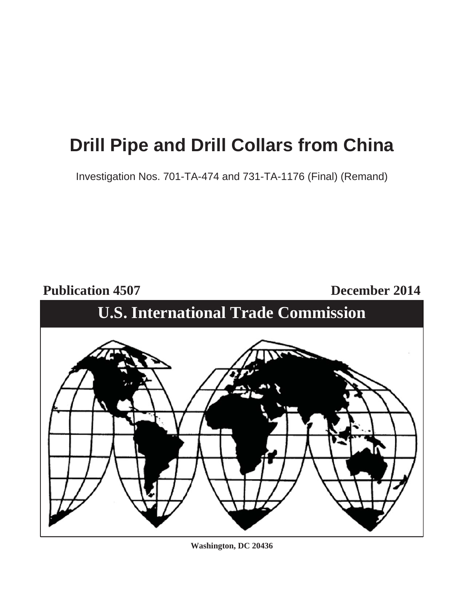# **Drill Pipe and Drill Collars from China**

Investigation Nos. 701-TA-474 and 731-TA-1176 (Final) (Remand)

**Publication 4507 December 2014**

# **U.S. International Trade Commission**



**Washington, DC 20436**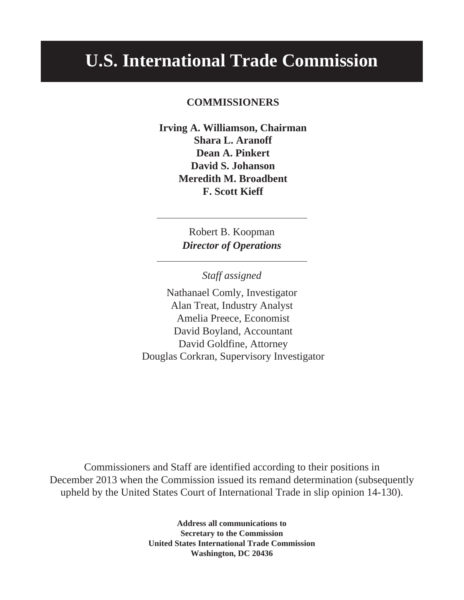# **U.S. International Trade Commission**

# **COMMISSIONERS**

**Irving A. Williamson, Chairman Shara L. Aranoff Dean A. Pinkert David S. Johanson Meredith M. Broadbent F. Scott Kieff**

> Robert B. Koopman *Director of Operations*

> > *Staff assigned*

Nathanael Comly, Investigator Alan Treat, Industry Analyst Amelia Preece, Economist David Boyland, Accountant David Goldfine, Attorney Douglas Corkran, Supervisory Investigator

Commissioners and Staff are identified according to their positions in December 2013 when the Commission issued its remand determination (subsequently upheld by the United States Court of International Trade in slip opinion 14-130).

> **Address all communications to Secretary to the Commission United States International Trade Commission Washington, DC 20436**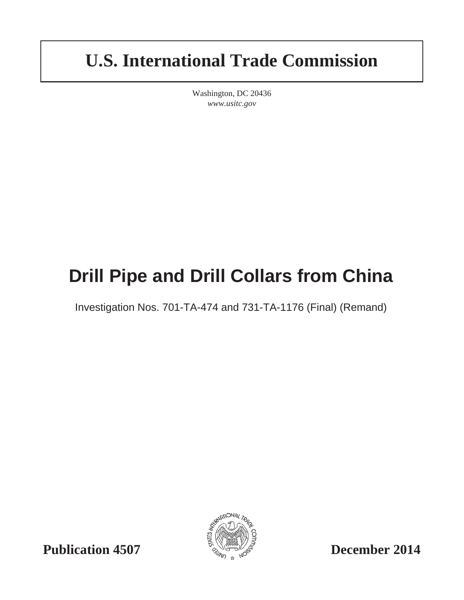# **U.S. International Trade Commission**

Washington, DC 20436 *www.usitc.gov*

# **Drill Pipe and Drill Collars from China**

Investigation Nos. 701-TA-474 and 731-TA-1176 (Final) (Remand)



**Publication 4507 December 2014**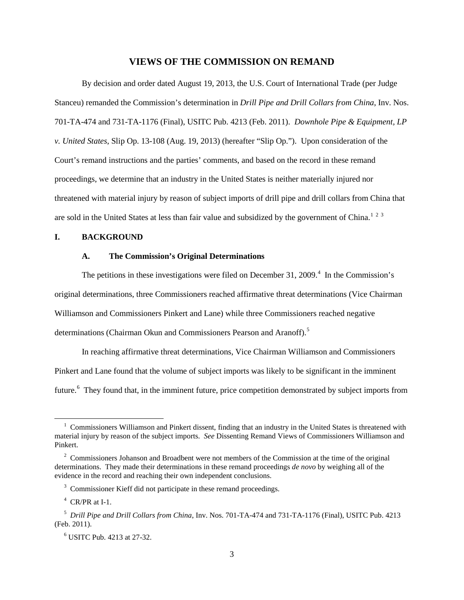#### **VIEWS OF THE COMMISSION ON REMAND**

By decision and order dated August 19, 2013, the U.S. Court of International Trade (per Judge Stanceu) remanded the Commission's determination in *Drill Pipe and Drill Collars from China*, Inv. Nos. 701-TA-474 and 731-TA-1176 (Final), USITC Pub. 4213 (Feb. 2011). *Downhole Pipe & Equipment, LP v. United States*, Slip Op. 13-108 (Aug. 19, 2013) (hereafter "Slip Op."). Upon consideration of the Court's remand instructions and the parties' comments, and based on the record in these remand proceedings, we determine that an industry in the United States is neither materially injured nor threatened with material injury by reason of subject imports of drill pipe and drill collars from China that are sold in the United States at less than fair value and subsidized by the government of China.<sup>[1](#page-4-0)[2](#page-4-1)[3](#page-4-2)</sup>

#### **I. BACKGROUND**

#### **A. The Commission's Original Determinations**

The petitions in these investigations were filed on December 31, 2009. $4$  In the Commission's original determinations, three Commissioners reached affirmative threat determinations (Vice Chairman Williamson and Commissioners Pinkert and Lane) while three Commissioners reached negative determinations (Chairman Okun and Commissioners Pearson and Aranoff).<sup>[5](#page-4-4)</sup>

In reaching affirmative threat determinations, Vice Chairman Williamson and Commissioners Pinkert and Lane found that the volume of subject imports was likely to be significant in the imminent future.<sup>[6](#page-4-5)</sup> They found that, in the imminent future, price competition demonstrated by subject imports from

<span id="page-4-0"></span><sup>&</sup>lt;sup>1</sup> Commissioners Williamson and Pinkert dissent, finding that an industry in the United States is threatened with material injury by reason of the subject imports. *See* Dissenting Remand Views of Commissioners Williamson and Pinkert.

<span id="page-4-1"></span><sup>&</sup>lt;sup>2</sup> Commissioners Johanson and Broadbent were not members of the Commission at the time of the original determinations. They made their determinations in these remand proceedings *de novo* by weighing all of the evidence in the record and reaching their own independent conclusions.

<span id="page-4-2"></span><sup>&</sup>lt;sup>3</sup> Commissioner Kieff did not participate in these remand proceedings.

 $4$  CR/PR at I-1.

<span id="page-4-5"></span><span id="page-4-4"></span><span id="page-4-3"></span><sup>5</sup> *Drill Pipe and Drill Collars from China*, Inv. Nos. 701-TA-474 and 731-TA-1176 (Final), USITC Pub. 4213 (Feb. 2011).

<sup>6</sup> USITC Pub. 4213 at 27-32.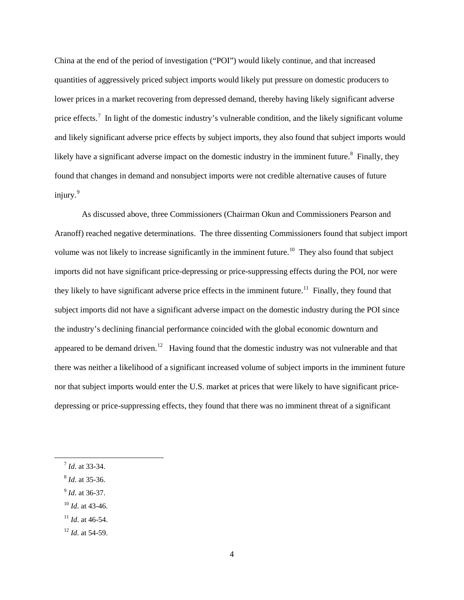China at the end of the period of investigation ("POI") would likely continue, and that increased quantities of aggressively priced subject imports would likely put pressure on domestic producers to lower prices in a market recovering from depressed demand, thereby having likely significant adverse price effects.<sup>[7](#page-5-0)</sup> In light of the domestic industry's vulnerable condition, and the likely significant volume and likely significant adverse price effects by subject imports, they also found that subject imports would likely have a significant adverse impact on the domestic industry in the imminent future.<sup>[8](#page-5-1)</sup> Finally, they found that changes in demand and nonsubject imports were not credible alternative causes of future injury. [9](#page-5-2)

As discussed above, three Commissioners (Chairman Okun and Commissioners Pearson and Aranoff) reached negative determinations. The three dissenting Commissioners found that subject import volume was not likely to increase significantly in the imminent future.<sup>[10](#page-5-3)</sup> They also found that subject imports did not have significant price-depressing or price-suppressing effects during the POI, nor were they likely to have significant adverse price effects in the imminent future.<sup>11</sup> Finally, they found that subject imports did not have a significant adverse impact on the domestic industry during the POI since the industry's declining financial performance coincided with the global economic downturn and appeared to be demand driven.<sup>12</sup> Having found that the domestic industry was not vulnerable and that there was neither a likelihood of a significant increased volume of subject imports in the imminent future nor that subject imports would enter the U.S. market at prices that were likely to have significant pricedepressing or price-suppressing effects, they found that there was no imminent threat of a significant

- <span id="page-5-1"></span><sup>8</sup> *Id*. at 35-36.
- <span id="page-5-2"></span><sup>9</sup> *Id*. at 36-37.
- <span id="page-5-3"></span> $^{10}$  *Id.* at 43-46.
- <span id="page-5-4"></span><sup>11</sup> *Id*. at 46-54.

<span id="page-5-0"></span><sup>7</sup> *Id*. at 33-34.

<span id="page-5-5"></span><sup>12</sup> *Id*. at 54-59.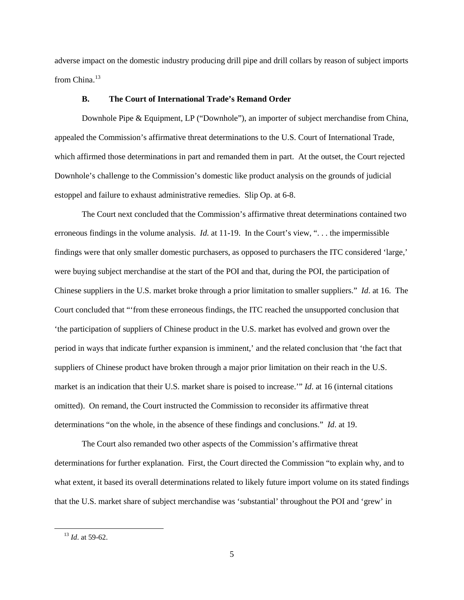adverse impact on the domestic industry producing drill pipe and drill collars by reason of subject imports from China.<sup>[13](#page-6-0)</sup>

#### **B. The Court of International Trade's Remand Order**

Downhole Pipe & Equipment, LP ("Downhole"), an importer of subject merchandise from China, appealed the Commission's affirmative threat determinations to the U.S. Court of International Trade, which affirmed those determinations in part and remanded them in part. At the outset, the Court rejected Downhole's challenge to the Commission's domestic like product analysis on the grounds of judicial estoppel and failure to exhaust administrative remedies. Slip Op. at 6-8.

The Court next concluded that the Commission's affirmative threat determinations contained two erroneous findings in the volume analysis. *Id*. at 11-19. In the Court's view, ". . . the impermissible findings were that only smaller domestic purchasers, as opposed to purchasers the ITC considered 'large,' were buying subject merchandise at the start of the POI and that, during the POI, the participation of Chinese suppliers in the U.S. market broke through a prior limitation to smaller suppliers." *Id*. at 16. The Court concluded that "'from these erroneous findings, the ITC reached the unsupported conclusion that 'the participation of suppliers of Chinese product in the U.S. market has evolved and grown over the period in ways that indicate further expansion is imminent,' and the related conclusion that 'the fact that suppliers of Chinese product have broken through a major prior limitation on their reach in the U.S. market is an indication that their U.S. market share is poised to increase." *Id*. at 16 (internal citations omitted). On remand, the Court instructed the Commission to reconsider its affirmative threat determinations "on the whole, in the absence of these findings and conclusions." *Id*. at 19.

The Court also remanded two other aspects of the Commission's affirmative threat determinations for further explanation. First, the Court directed the Commission "to explain why, and to what extent, it based its overall determinations related to likely future import volume on its stated findings that the U.S. market share of subject merchandise was 'substantial' throughout the POI and 'grew' in

<span id="page-6-0"></span><sup>13</sup> *Id*. at 59-62.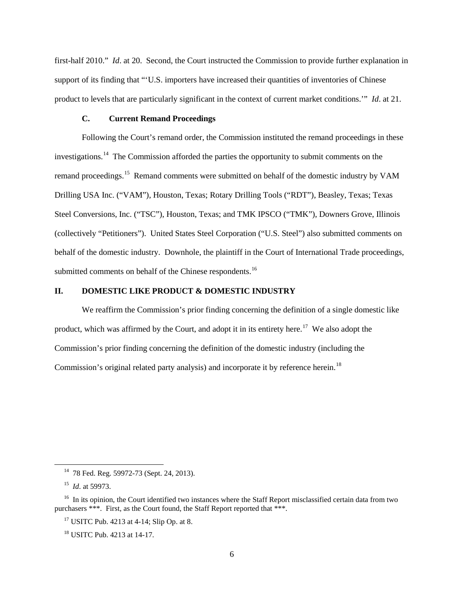first-half 2010." *Id*. at 20. Second, the Court instructed the Commission to provide further explanation in support of its finding that "'U.S. importers have increased their quantities of inventories of Chinese product to levels that are particularly significant in the context of current market conditions.'" *Id*. at 21.

#### **C. Current Remand Proceedings**

Following the Court's remand order, the Commission instituted the remand proceedings in these investigations.[14](#page-7-0) The Commission afforded the parties the opportunity to submit comments on the remand proceedings.<sup>[15](#page-7-1)</sup> Remand comments were submitted on behalf of the domestic industry by VAM Drilling USA Inc. ("VAM"), Houston, Texas; Rotary Drilling Tools ("RDT"), Beasley, Texas; Texas Steel Conversions, Inc. ("TSC"), Houston, Texas; and TMK IPSCO ("TMK"), Downers Grove, Illinois (collectively "Petitioners"). United States Steel Corporation ("U.S. Steel") also submitted comments on behalf of the domestic industry. Downhole, the plaintiff in the Court of International Trade proceedings, submitted comments on behalf of the Chinese respondents.<sup>[16](#page-7-2)</sup>

#### **II. DOMESTIC LIKE PRODUCT & DOMESTIC INDUSTRY**

We reaffirm the Commission's prior finding concerning the definition of a single domestic like product, which was affirmed by the Court, and adopt it in its entirety here.<sup>[17](#page-7-3)</sup> We also adopt the Commission's prior finding concerning the definition of the domestic industry (including the Commission's original related party analysis) and incorporate it by reference herein.<sup>[18](#page-7-4)</sup>

<sup>&</sup>lt;sup>14</sup> 78 Fed. Reg. 59972-73 (Sept. 24, 2013).

15 *Id*. at 59973.

<span id="page-7-4"></span><span id="page-7-3"></span><span id="page-7-2"></span><span id="page-7-1"></span><span id="page-7-0"></span><sup>&</sup>lt;sup>16</sup> In its opinion, the Court identified two instances where the Staff Report misclassified certain data from two purchasers \*\*\*. First, as the Court found, the Staff Report reported that \*\*\*.

 $17$  USITC Pub. 4213 at 4-14; Slip Op. at 8.

<sup>18</sup> USITC Pub. 4213 at 14-17.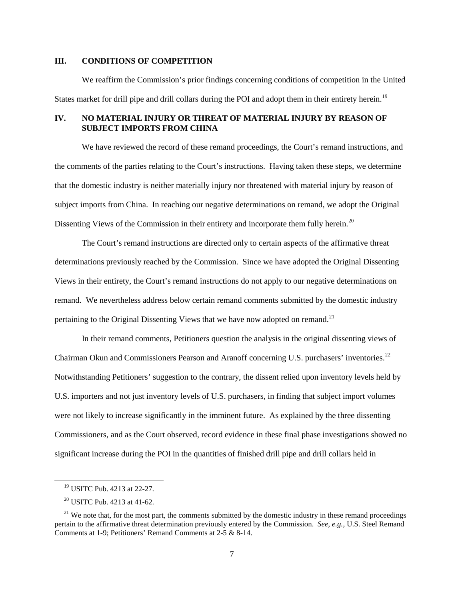#### **III. CONDITIONS OF COMPETITION**

We reaffirm the Commission's prior findings concerning conditions of competition in the United States market for drill pipe and drill collars during the POI and adopt them in their entirety herein.<sup>[19](#page-8-0)</sup>

### **IV. NO MATERIAL INJURY OR THREAT OF MATERIAL INJURY BY REASON OF SUBJECT IMPORTS FROM CHINA**

We have reviewed the record of these remand proceedings, the Court's remand instructions, and the comments of the parties relating to the Court's instructions. Having taken these steps, we determine that the domestic industry is neither materially injury nor threatened with material injury by reason of subject imports from China. In reaching our negative determinations on remand, we adopt the Original Dissenting Views of the Commission in their entirety and incorporate them fully herein.<sup>[20](#page-8-1)</sup>

The Court's remand instructions are directed only to certain aspects of the affirmative threat determinations previously reached by the Commission. Since we have adopted the Original Dissenting Views in their entirety, the Court's remand instructions do not apply to our negative determinations on remand. We nevertheless address below certain remand comments submitted by the domestic industry pertaining to the Original Dissenting Views that we have now adopted on remand.<sup>[21](#page-8-2)</sup>

<span id="page-8-3"></span>In their remand comments, Petitioners question the analysis in the original dissenting views of Chairman Okun and Commissioners Pearson and Aranoff concerning U.S. purchasers' inventories.<sup>[22](#page-8-3)</sup> Notwithstanding Petitioners' suggestion to the contrary, the dissent relied upon inventory levels held by U.S. importers and not just inventory levels of U.S. purchasers, in finding that subject import volumes were not likely to increase significantly in the imminent future. As explained by the three dissenting Commissioners, and as the Court observed, record evidence in these final phase investigations showed no significant increase during the POI in the quantities of finished drill pipe and drill collars held in

<sup>19</sup> USITC Pub. 4213 at 22-27.

<sup>20</sup> USITC Pub. 4213 at 41-62.

<span id="page-8-2"></span><span id="page-8-1"></span><span id="page-8-0"></span> $21$  We note that, for the most part, the comments submitted by the domestic industry in these remand proceedings pertain to the affirmative threat determination previously entered by the Commission. *See, e.g.*, U.S. Steel Remand Comments at 1-9; Petitioners' Remand Comments at 2-5 & 8-14.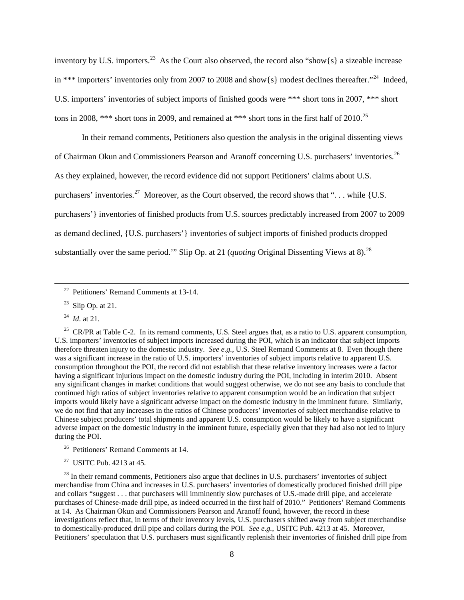inventory by U.S. importers.<sup>[23](#page-9-0)</sup> As the Court also observed, the record also "show{s} a sizeable increase in \*\*\* importers' inventories only from 2007 to 2008 and show{s} modest declines thereafter."<sup>24</sup> Indeed, U.S. importers' inventories of subject imports of finished goods were \*\*\* short tons in 2007, \*\*\* short tons in 2008, \*\*\* short tons in 2009, and remained at \*\*\* short tons in the first half of 2010.<sup>[25](#page-9-2)</sup>

In their remand comments, Petitioners also question the analysis in the original dissenting views of Chairman Okun and Commissioners Pearson and Aranoff concerning U.S. purchasers' inventories.<sup>[26](#page-9-3)</sup> As they explained, however, the record evidence did not support Petitioners' claims about U.S. purchasers' inventories.<sup>27</sup> Moreover, as the Court observed, the record shows that "... while {U.S. purchasers'} inventories of finished products from U.S. sources predictably increased from 2007 to 2009 as demand declined, {U.S. purchasers'} inventories of subject imports of finished products dropped substantially over the same period.'" Slip Op. at 21 (*quoting* Original Dissenting Views at 8).<sup>[28](#page-9-5)</sup>

24 *Id*. at 21.

<span id="page-9-0"></span> $\overline{a}$ 

<span id="page-9-2"></span><span id="page-9-1"></span><sup>25</sup> CR/PR at Table C-2. In its remand comments, U.S. Steel argues that, as a ratio to U.S. apparent consumption, U.S. importers' inventories of subject imports increased during the POI, which is an indicator that subject imports therefore threaten injury to the domestic industry. *See e.g.*, U.S. Steel Remand Comments at 8. Even though there was a significant increase in the ratio of U.S. importers' inventories of subject imports relative to apparent U.S. consumption throughout the POI, the record did not establish that these relative inventory increases were a factor having a significant injurious impact on the domestic industry during the POI, including in interim 2010. Absent any significant changes in market conditions that would suggest otherwise, we do not see any basis to conclude that continued high ratios of subject inventories relative to apparent consumption would be an indication that subject imports would likely have a significant adverse impact on the domestic industry in the imminent future. Similarly, we do not find that any increases in the ratios of Chinese producers' inventories of subject merchandise relative to Chinese subject producers' total shipments and apparent  $\dot{U}$ . Consumption would be likely to have a significant adverse impact on the domestic industry in the imminent future, especially given that they had also not led to injury during the POI.

- <sup>26</sup> Petitioners' Remand Comments at 14.
- 27 USITC Pub. 4213 at 45.

<span id="page-9-5"></span><span id="page-9-4"></span><span id="page-9-3"></span><sup>28</sup> In their remand comments, Petitioners also argue that declines in U.S. purchasers' inventories of subject merchandise from China and increases in U.S. purchasers' inventories of domestically produced finished drill pipe and collars "suggest . . . that purchasers will imminently slow purchases of U.S.-made drill pipe, and accelerate purchases of Chinese-made drill pipe, as indeed occurred in the first half of 2010." Petitioners' Remand Comments at 14. As Chairman Okun and Commissioners Pearson and Aranoff found, however, the record in these investigations reflect that, in terms of their inventory levels, U.S. purchasers shifted away from subject merchandise to domestically-produced drill pipe and collars during the POI. *See e.g.*, USITC Pub. 4213 at 45. Moreover, Petitioners' speculation that U.S. purchasers must significantly replenish their inventories of finished drill pipe from

22 Petitioners' Remand Comments at 13-14.

<sup>&</sup>lt;sup>23</sup> Slip Op. at 21.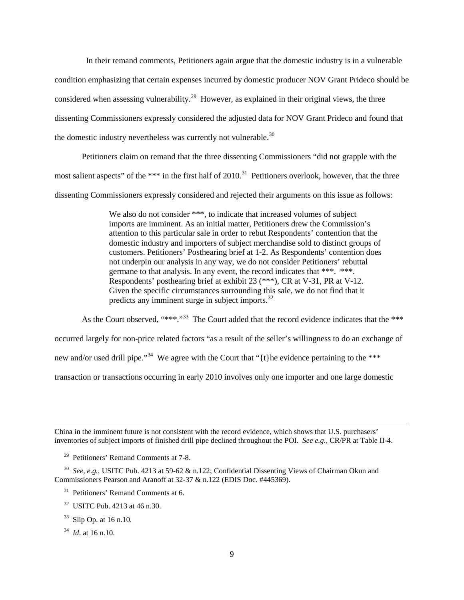In their remand comments, Petitioners again argue that the domestic industry is in a vulnerable condition emphasizing that certain expenses incurred by domestic producer NOV Grant Prideco should be considered when assessing vulnerability.<sup>[29](#page-10-0)</sup> However, as explained in their original views, the three dissenting Commissioners expressly considered the adjusted data for NOV Grant Prideco and found that the domestic industry nevertheless was currently not vulnerable.<sup>[30](#page-10-1)</sup>

Petitioners claim on remand that the three dissenting Commissioners "did not grapple with the most salient aspects" of the \*\*\* in the first half of 2010.<sup>[31](#page-10-2)</sup> Petitioners overlook, however, that the three dissenting Commissioners expressly considered and rejected their arguments on this issue as follows:

> We also do not consider \*\*\*, to indicate that increased volumes of subject imports are imminent. As an initial matter, Petitioners drew the Commission's attention to this particular sale in order to rebut Respondents' contention that the domestic industry and importers of subject merchandise sold to distinct groups of customers. Petitioners' Posthearing brief at 1-2. As Respondents' contention does not underpin our analysis in any way, we do not consider Petitioners' rebuttal germane to that analysis. In any event, the record indicates that \*\*\*. \*\*\*. Respondents' posthearing brief at exhibit 23 (\*\*\*), CR at V-31, PR at V-12. Given the specific circumstances surrounding this sale, we do not find that it predicts any imminent surge in subject imports.<sup>[32](#page-10-3)</sup>

As the Court observed, "\*\*\*."<sup>33</sup> The Court added that the record evidence indicates that the \*\*\*

occurred largely for non-price related factors "as a result of the seller's willingness to do an exchange of

new and/or used drill pipe."<sup>34</sup> We agree with the Court that "{t}he evidence pertaining to the \*\*\*

transaction or transactions occurring in early 2010 involves only one importer and one large domestic

China in the imminent future is not consistent with the record evidence, which shows that U.S. purchasers' inventories of subject imports of finished drill pipe declined throughout the POI. *See e.g.*, CR/PR at Table II-4.

29 Petitioners' Remand Comments at 7-8.

<span id="page-10-2"></span><span id="page-10-1"></span><span id="page-10-0"></span> 30 *See, e.g.*, USITC Pub. 4213 at 59-62 & n.122; Confidential Dissenting Views of Chairman Okun and Commissioners Pearson and Aranoff at 32-37 & n.122 (EDIS Doc. #445369).

<sup>31</sup> Petitioners' Remand Comments at 6.

<span id="page-10-3"></span>32 USITC Pub. 4213 at 46 n.30.

<span id="page-10-4"></span> $33$  Slip Op. at 16 n.10.

<span id="page-10-5"></span>34 *Id*. at 16 n.10.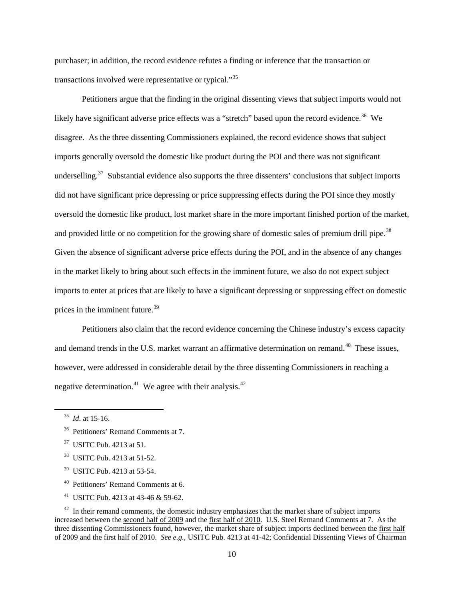purchaser; in addition, the record evidence refutes a finding or inference that the transaction or transactions involved were representative or typical."[35](#page-11-0)

Petitioners argue that the finding in the original dissenting views that subject imports would not likely have significant adverse price effects was a "stretch" based upon the record evidence.<sup>36</sup> We disagree. As the three dissenting Commissioners explained, the record evidence shows that subject imports generally oversold the domestic like product during the POI and there was not significant underselling.<sup>37</sup> Substantial evidence also supports the three dissenters' conclusions that subject imports did not have significant price depressing or price suppressing effects during the POI since they mostly oversold the domestic like product, lost market share in the more important finished portion of the market, and provided little or no competition for the growing share of domestic sales of premium drill pipe.<sup>38</sup> Given the absence of significant adverse price effects during the POI, and in the absence of any changes in the market likely to bring about such effects in the imminent future, we also do not expect subject imports to enter at prices that are likely to have a significant depressing or suppressing effect on domestic prices in the imminent future.<sup>[39](#page-11-4)</sup>

Petitioners also claim that the record evidence concerning the Chinese industry's excess capacity and demand trends in the U.S. market warrant an affirmative determination on remand.<sup>40</sup> These issues, however, were addressed in considerable detail by the three dissenting Commissioners in reaching a negative determination.<sup>[41](#page-11-6)</sup> We agree with their analysis.<sup>[42](#page-11-7)</sup>

- <span id="page-11-3"></span>38 USITC Pub. 4213 at 51-52.
- <span id="page-11-4"></span>39 USITC Pub. 4213 at 53-54.
- 40 Petitioners' Remand Comments at 6.
- 41 USITC Pub. 4213 at 43-46 & 59-62.

<span id="page-11-0"></span>35 *Id*. at 15-16.

<span id="page-11-1"></span><sup>&</sup>lt;sup>36</sup> Petitioners' Remand Comments at 7.

<span id="page-11-2"></span>37 USITC Pub. 4213 at 51.

<span id="page-11-7"></span><span id="page-11-6"></span><span id="page-11-5"></span> $42$  In their remand comments, the domestic industry emphasizes that the market share of subject imports increased between the second half of 2009 and the first half of 2010. U.S. Steel Remand Comments at 7. As the three dissenting Commissioners found, however, the market share of subject imports declined between the first half of 2009 and the first half of 2010. *See e.g.*, USITC Pub. 4213 at 41-42; Confidential Dissenting Views of Chairman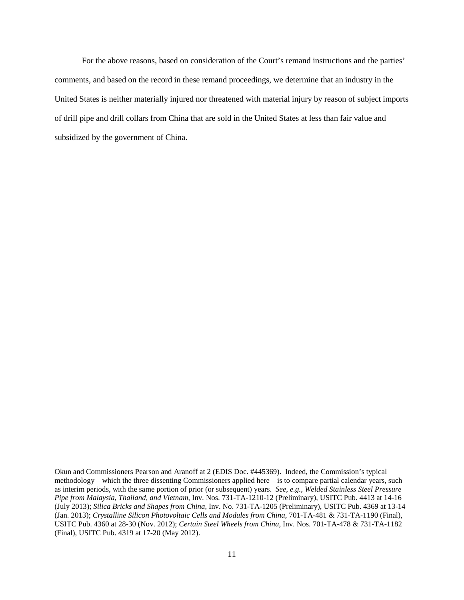For the above reasons, based on consideration of the Court's remand instructions and the parties' comments, and based on the record in these remand proceedings, we determine that an industry in the United States is neither materially injured nor threatened with material injury by reason of subject imports of drill pipe and drill collars from China that are sold in the United States at less than fair value and subsidized by the government of China.

Okun and Commissioners Pearson and Aranoff at 2 (EDIS Doc. #445369). Indeed, the Commission's typical methodology – which the three dissenting Commissioners applied here – is to compare partial calendar years, such as interim periods, with the same portion of prior (or subsequent) years. *See, e.g., Welded Stainless Steel Pressure Pipe from Malaysia, Thailand, and Vietnam*, Inv. Nos. 731-TA-1210-12 (Preliminary), USITC Pub. 4413 at 14-16 (July 2013); *Silica Bricks and Shapes from China*, Inv. No. 731-TA-1205 (Preliminary), USITC Pub. 4369 at 13-14 (Jan. 2013); *Crystalline Silicon Photovoltaic Cells and Modules from China*, 701-TA-481 & 731-TA-1190 (Final), USITC Pub. 4360 at 28-30 (Nov. 2012); *Certain Steel Wheels from China*, Inv. Nos. 701-TA-478 & 731-TA-1182 (Final), USITC Pub. 4319 at 17-20 (May 2012).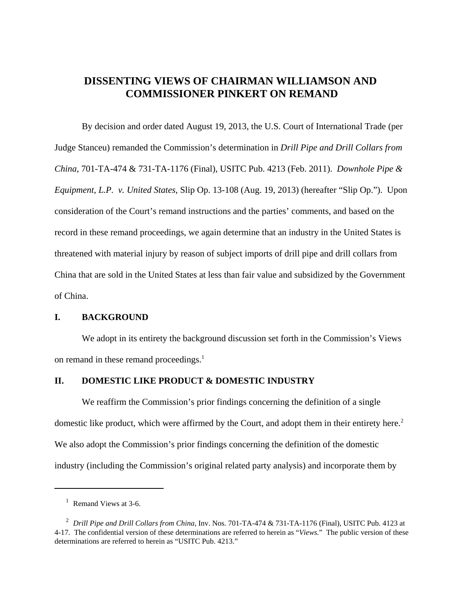# **DISSENTING VIEWS OF CHAIRMAN WILLIAMSON AND COMMISSIONER PINKERT ON REMAND**

By decision and order dated August 19, 2013, the U.S. Court of International Trade (per Judge Stanceu) remanded the Commission's determination in *Drill Pipe and Drill Collars from China*, 701-TA-474 & 731-TA-1176 (Final), USITC Pub. 4213 (Feb. 2011). *Downhole Pipe & Equipment, L.P. v. United States*, Slip Op. 13-108 (Aug. 19, 2013) (hereafter "Slip Op."). Upon consideration of the Court's remand instructions and the parties' comments, and based on the record in these remand proceedings, we again determine that an industry in the United States is threatened with material injury by reason of subject imports of drill pipe and drill collars from China that are sold in the United States at less than fair value and subsidized by the Government of China.

# **I. BACKGROUND**

We adopt in its entirety the background discussion set forth in the Commission's Views on remand in these remand proceedings. $<sup>1</sup>$ </sup>

# **II. DOMESTIC LIKE PRODUCT & DOMESTIC INDUSTRY**

We reaffirm the Commission's prior findings concerning the definition of a single domestic like product, which were affirmed by the Court, and adopt them in their entirety here.<sup>2</sup> We also adopt the Commission's prior findings concerning the definition of the domestic industry (including the Commission's original related party analysis) and incorporate them by

<sup>&</sup>lt;sup>1</sup> Remand Views at 3-6.

<sup>&</sup>lt;sup>2</sup> Drill Pipe and Drill Collars from China, Inv. Nos. 701-TA-474 & 731-TA-1176 (Final), USITC Pub. 4123 at 4-17. The confidential version of these determinations are referred to herein as "*Views.*" The public version of these determinations are referred to herein as "USITC Pub. 4213."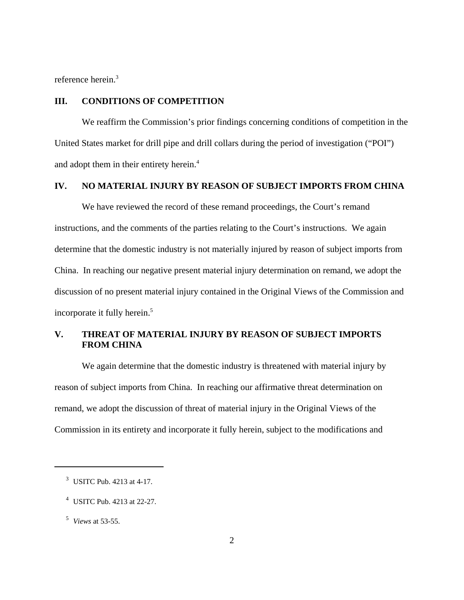reference herein.<sup>3</sup>

### **III. CONDITIONS OF COMPETITION**

We reaffirm the Commission's prior findings concerning conditions of competition in the United States market for drill pipe and drill collars during the period of investigation ("POI") and adopt them in their entirety herein.<sup>4</sup>

### **IV. NO MATERIAL INJURY BY REASON OF SUBJECT IMPORTS FROM CHINA**

We have reviewed the record of these remand proceedings, the Court's remand instructions, and the comments of the parties relating to the Court's instructions. We again determine that the domestic industry is not materially injured by reason of subject imports from China. In reaching our negative present material injury determination on remand, we adopt the discussion of no present material injury contained in the Original Views of the Commission and incorporate it fully herein.<sup>5</sup>

# **V. THREAT OF MATERIAL INJURY BY REASON OF SUBJECT IMPORTS FROM CHINA**

We again determine that the domestic industry is threatened with material injury by reason of subject imports from China. In reaching our affirmative threat determination on remand, we adopt the discussion of threat of material injury in the Original Views of the Commission in its entirety and incorporate it fully herein, subject to the modifications and

<sup>&</sup>lt;sup>3</sup> USITC Pub. 4213 at 4-17.

 <sup>4</sup> USITC Pub. 4213 at 22-27.

 <sup>5</sup> *Views* at 53-55.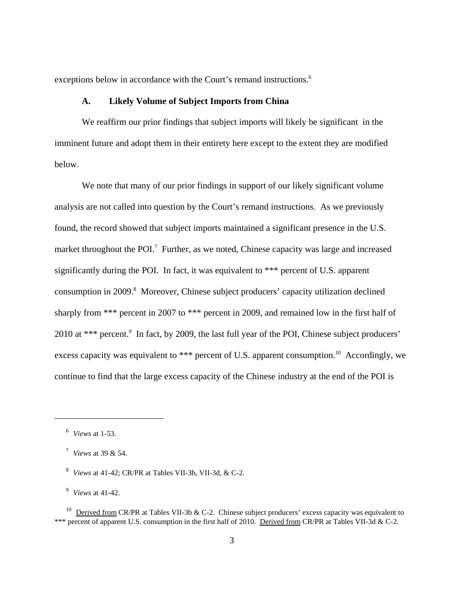exceptions below in accordance with the Court's remand instructions.<sup>6</sup>

#### **A. Likely Volume of Subject Imports from China**

We reaffirm our prior findings that subject imports will likely be significant in the imminent future and adopt them in their entirety here except to the extent they are modified below.

We note that many of our prior findings in support of our likely significant volume analysis are not called into question by the Court's remand instructions. As we previously found, the record showed that subject imports maintained a significant presence in the U.S. market throughout the POI.<sup>7</sup> Further, as we noted, Chinese capacity was large and increased significantly during the POI. In fact, it was equivalent to \*\*\* percent of U.S. apparent consumption in 2009.<sup>8</sup> Moreover, Chinese subject producers' capacity utilization declined sharply from \*\*\* percent in 2007 to \*\*\* percent in 2009, and remained low in the first half of 2010 at \*\*\* percent.<sup>9</sup> In fact, by 2009, the last full year of the POI, Chinese subject producers' excess capacity was equivalent to \*\*\* percent of U.S. apparent consumption.<sup>10</sup> Accordingly, we continue to find that the large excess capacity of the Chinese industry at the end of the POI is

 <sup>6</sup> *Views* at 1-53.

 <sup>7</sup> *Views* at 39 & 54.

 <sup>8</sup> *Views* at 41-42; CR/PR at Tables VII-3b, VII-3d, & C-2.

 <sup>9</sup> *Views* at 41-42.

<sup>&</sup>lt;sup>10</sup> Derived from CR/PR at Tables VII-3b & C-2. Chinese subject producers' excess capacity was equivalent to \*\*\* percent of apparent U.S. consumption in the first half of 2010. Derived from CR/PR at Tables VII-3d & C-2.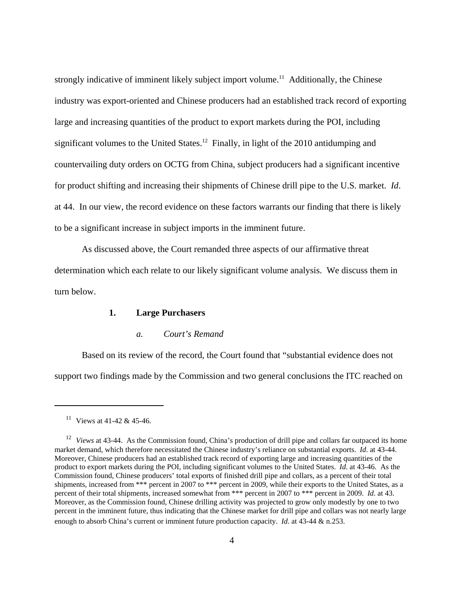strongly indicative of imminent likely subject import volume.<sup>11</sup> Additionally, the Chinese industry was export-oriented and Chinese producers had an established track record of exporting large and increasing quantities of the product to export markets during the POI, including significant volumes to the United States.<sup>12</sup> Finally, in light of the 2010 antidumping and countervailing duty orders on OCTG from China, subject producers had a significant incentive for product shifting and increasing their shipments of Chinese drill pipe to the U.S. market. *Id*. at 44. In our view, the record evidence on these factors warrants our finding that there is likely to be a significant increase in subject imports in the imminent future.

As discussed above, the Court remanded three aspects of our affirmative threat determination which each relate to our likely significant volume analysis. We discuss them in turn below.

### **1. Large Purchasers**

#### *a. Court's Remand*

Based on its review of the record, the Court found that "substantial evidence does not support two findings made by the Commission and two general conclusions the ITC reached on

<sup>&</sup>lt;sup>11</sup> Views at 41-42 & 45-46.

<sup>&</sup>lt;sup>12</sup> *Views* at 43-44. As the Commission found, China's production of drill pipe and collars far outpaced its home market demand, which therefore necessitated the Chinese industry's reliance on substantial exports. *Id*. at 43-44. Moreover, Chinese producers had an established track record of exporting large and increasing quantities of the product to export markets during the POI, including significant volumes to the United States. *Id*. at 43-46. As the Commission found, Chinese producers' total exports of finished drill pipe and collars, as a percent of their total shipments, increased from \*\*\* percent in 2007 to \*\*\* percent in 2009, while their exports to the United States, as a percent of their total shipments, increased somewhat from \*\*\* percent in 2007 to \*\*\* percent in 2009. *Id*. at 43. Moreover, as the Commission found, Chinese drilling activity was projected to grow only modestly by one to two percent in the imminent future, thus indicating that the Chinese market for drill pipe and collars was not nearly large enough to absorb China's current or imminent future production capacity. *Id*. at 43-44 & n.253.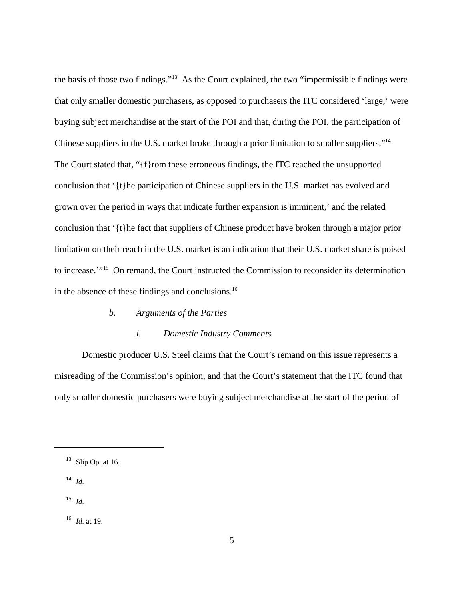the basis of those two findings."13 As the Court explained, the two "impermissible findings were that only smaller domestic purchasers, as opposed to purchasers the ITC considered 'large,' were buying subject merchandise at the start of the POI and that, during the POI, the participation of Chinese suppliers in the U.S. market broke through a prior limitation to smaller suppliers."<sup>14</sup> The Court stated that, "{f}rom these erroneous findings, the ITC reached the unsupported conclusion that '{t}he participation of Chinese suppliers in the U.S. market has evolved and grown over the period in ways that indicate further expansion is imminent,' and the related conclusion that '{t}he fact that suppliers of Chinese product have broken through a major prior limitation on their reach in the U.S. market is an indication that their U.S. market share is poised to increase.'"15 On remand, the Court instructed the Commission to reconsider its determination in the absence of these findings and conclusions.16

# *b. Arguments of the Parties*

#### *i. Domestic Industry Comments*

Domestic producer U.S. Steel claims that the Court's remand on this issue represents a misreading of the Commission's opinion, and that the Court's statement that the ITC found that only smaller domestic purchasers were buying subject merchandise at the start of the period of

- $14$  *Id*.
- $^{15}$  *Id.*

16 *Id*. at 19.

 $13$  Slip Op. at 16.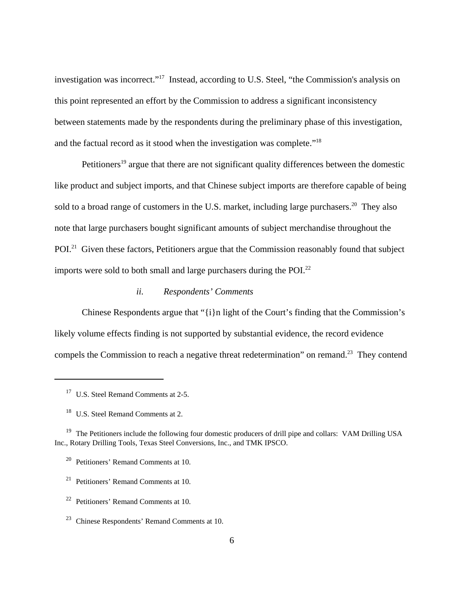investigation was incorrect."17 Instead, according to U.S. Steel, "the Commission's analysis on this point represented an effort by the Commission to address a significant inconsistency between statements made by the respondents during the preliminary phase of this investigation, and the factual record as it stood when the investigation was complete."18

Petitioners<sup>19</sup> argue that there are not significant quality differences between the domestic like product and subject imports, and that Chinese subject imports are therefore capable of being sold to a broad range of customers in the U.S. market, including large purchasers.<sup>20</sup> They also note that large purchasers bought significant amounts of subject merchandise throughout the POI.<sup>21</sup> Given these factors, Petitioners argue that the Commission reasonably found that subject imports were sold to both small and large purchasers during the POI.<sup>22</sup>

# *ii. Respondents' Comments*

Chinese Respondents argue that "{i}n light of the Court's finding that the Commission's likely volume effects finding is not supported by substantial evidence, the record evidence compels the Commission to reach a negative threat redetermination" on remand.<sup>23</sup> They contend

<sup>&</sup>lt;sup>17</sup> U.S. Steel Remand Comments at 2-5.

<sup>&</sup>lt;sup>18</sup> U.S. Steel Remand Comments at 2.

<sup>&</sup>lt;sup>19</sup> The Petitioners include the following four domestic producers of drill pipe and collars: VAM Drilling USA Inc., Rotary Drilling Tools, Texas Steel Conversions, Inc., and TMK IPSCO.

 <sup>20</sup> Petitioners' Remand Comments at 10.

 $21$  Petitioners' Remand Comments at 10.

 $22$  Petitioners' Remand Comments at 10.

 <sup>23</sup> Chinese Respondents' Remand Comments at 10.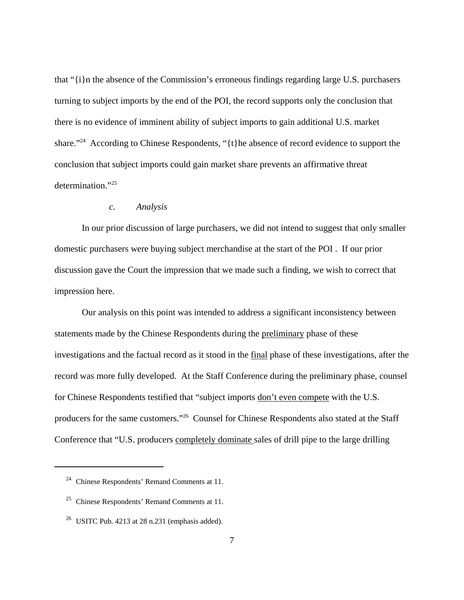that "{i}n the absence of the Commission's erroneous findings regarding large U.S. purchasers turning to subject imports by the end of the POI, the record supports only the conclusion that there is no evidence of imminent ability of subject imports to gain additional U.S. market share."<sup>24</sup> According to Chinese Respondents, "{t}he absence of record evidence to support the conclusion that subject imports could gain market share prevents an affirmative threat determination."25

#### *c. Analysis*

In our prior discussion of large purchasers, we did not intend to suggest that only smaller domestic purchasers were buying subject merchandise at the start of the POI . If our prior discussion gave the Court the impression that we made such a finding, we wish to correct that impression here.

Our analysis on this point was intended to address a significant inconsistency between statements made by the Chinese Respondents during the preliminary phase of these investigations and the factual record as it stood in the final phase of these investigations, after the record was more fully developed. At the Staff Conference during the preliminary phase, counsel for Chinese Respondents testified that "subject imports don't even compete with the U.S. producers for the same customers."26 Counsel for Chinese Respondents also stated at the Staff Conference that "U.S. producers completely dominate sales of drill pipe to the large drilling

 <sup>24</sup> Chinese Respondents' Remand Comments at 11.

 <sup>25</sup> Chinese Respondents' Remand Comments at 11.

<sup>&</sup>lt;sup>26</sup> USITC Pub. 4213 at 28 n.231 (emphasis added).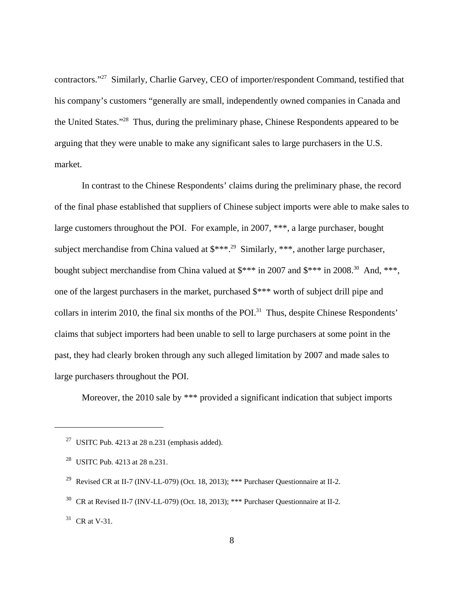contractors."27 Similarly, Charlie Garvey, CEO of importer/respondent Command, testified that his company's customers "generally are small, independently owned companies in Canada and the United States."28 Thus, during the preliminary phase, Chinese Respondents appeared to be arguing that they were unable to make any significant sales to large purchasers in the U.S. market.

In contrast to the Chinese Respondents' claims during the preliminary phase, the record of the final phase established that suppliers of Chinese subject imports were able to make sales to large customers throughout the POI. For example, in 2007, \*\*\*, a large purchaser, bought subject merchandise from China valued at  $$***.^{29}$  Similarly, \*\*\*, another large purchaser, bought subject merchandise from China valued at  $\frac{2007}{3}$  and  $\frac{2008}{30}$  And, \*\*\*, one of the largest purchasers in the market, purchased \$\*\*\* worth of subject drill pipe and collars in interim 2010, the final six months of the POI.<sup>31</sup> Thus, despite Chinese Respondents' claims that subject importers had been unable to sell to large purchasers at some point in the past, they had clearly broken through any such alleged limitation by 2007 and made sales to large purchasers throughout the POI.

Moreover, the 2010 sale by \*\*\* provided a significant indication that subject imports

<sup>&</sup>lt;sup>27</sup> USITC Pub. 4213 at 28 n.231 (emphasis added).

<sup>&</sup>lt;sup>28</sup> USITC Pub. 4213 at 28 n.231.

<sup>&</sup>lt;sup>29</sup> Revised CR at II-7 (INV-LL-079) (Oct. 18, 2013); \*\*\* Purchaser Questionnaire at II-2.

 <sup>30</sup> CR at Revised II-7 (INV-LL-079) (Oct. 18, 2013); \*\*\* Purchaser Questionnaire at II-2.

 $31$  CR at V-31.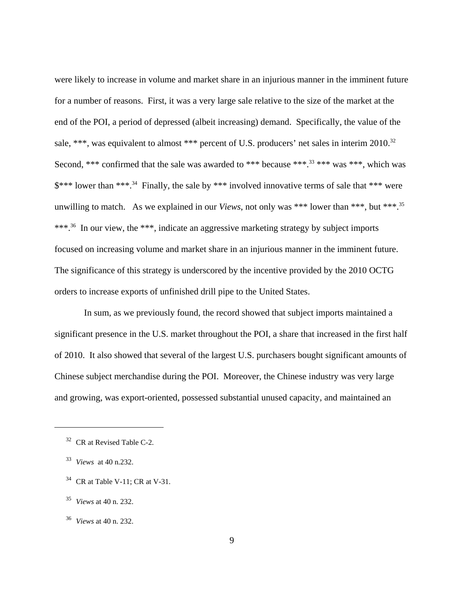were likely to increase in volume and market share in an injurious manner in the imminent future for a number of reasons. First, it was a very large sale relative to the size of the market at the end of the POI, a period of depressed (albeit increasing) demand. Specifically, the value of the sale, \*\*\*, was equivalent to almost \*\*\* percent of U.S. producers' net sales in interim 2010.<sup>32</sup> Second, \*\*\* confirmed that the sale was awarded to \*\*\* because \*\*\*.<sup>33</sup> \*\*\* was \*\*\*, which was \$\*\*\* lower than \*\*\*.34 Finally, the sale by \*\*\* involved innovative terms of sale that \*\*\* were unwilling to match. As we explained in our *Views*, not only was \*\*\* lower than \*\*\*, but \*\*\*.35 \*\*\*.<sup>36</sup> In our view, the \*\*\*, indicate an aggressive marketing strategy by subject imports focused on increasing volume and market share in an injurious manner in the imminent future. The significance of this strategy is underscored by the incentive provided by the 2010 OCTG orders to increase exports of unfinished drill pipe to the United States.

 In sum, as we previously found, the record showed that subject imports maintained a significant presence in the U.S. market throughout the POI, a share that increased in the first half of 2010. It also showed that several of the largest U.S. purchasers bought significant amounts of Chinese subject merchandise during the POI. Moreover, the Chinese industry was very large and growing, was export-oriented, possessed substantial unused capacity, and maintained an

 <sup>32</sup> CR at Revised Table C-2.

 <sup>33</sup> *Views* at 40 n.232.

 $34$  CR at Table V-11: CR at V-31.

 <sup>35</sup> *Views* at 40 n. 232.

 <sup>36</sup> *Views* at 40 n. 232.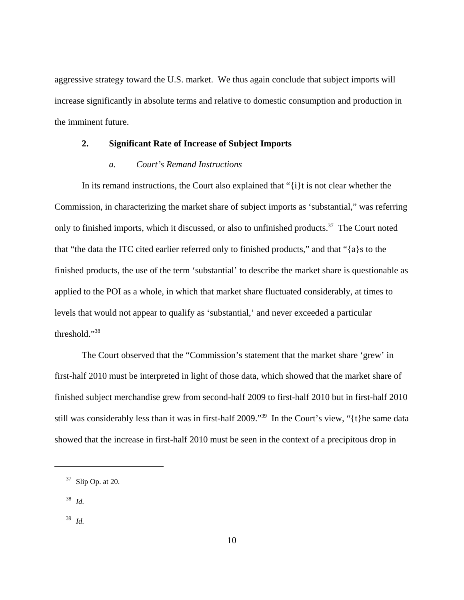aggressive strategy toward the U.S. market. We thus again conclude that subject imports will increase significantly in absolute terms and relative to domestic consumption and production in the imminent future.

### **2. Significant Rate of Increase of Subject Imports**

#### *a. Court's Remand Instructions*

In its remand instructions, the Court also explained that "{i}t is not clear whether the Commission, in characterizing the market share of subject imports as 'substantial," was referring only to finished imports, which it discussed, or also to unfinished products.<sup>37</sup> The Court noted that "the data the ITC cited earlier referred only to finished products," and that "{a}s to the finished products, the use of the term 'substantial' to describe the market share is questionable as applied to the POI as a whole, in which that market share fluctuated considerably, at times to levels that would not appear to qualify as 'substantial,' and never exceeded a particular threshold."38

The Court observed that the "Commission's statement that the market share 'grew' in first-half 2010 must be interpreted in light of those data, which showed that the market share of finished subject merchandise grew from second-half 2009 to first-half 2010 but in first-half 2010 still was considerably less than it was in first-half 2009."<sup>39</sup> In the Court's view, "{t}he same data showed that the increase in first-half 2010 must be seen in the context of a precipitous drop in

38 *Id*.

 $37$  Slip Op. at 20.

 <sup>39</sup> *Id*.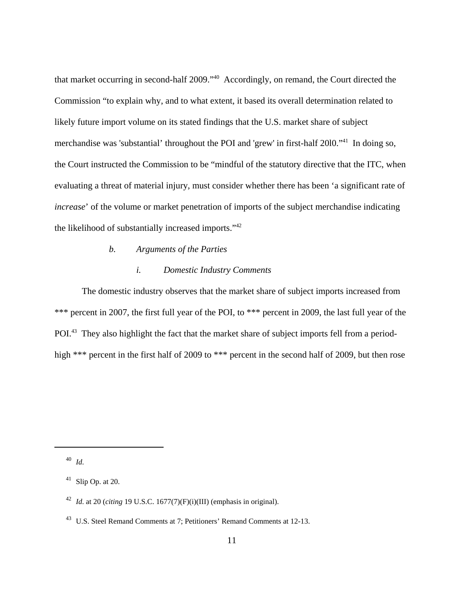that market occurring in second-half 2009."40 Accordingly, on remand, the Court directed the Commission "to explain why, and to what extent, it based its overall determination related to likely future import volume on its stated findings that the U.S. market share of subject merchandise was 'substantial' throughout the POI and 'grew' in first-half 20l0."41 In doing so, the Court instructed the Commission to be "mindful of the statutory directive that the ITC, when evaluating a threat of material injury, must consider whether there has been 'a significant rate of *increase*' of the volume or market penetration of imports of the subject merchandise indicating the likelihood of substantially increased imports."42

#### *b. Arguments of the Parties*

#### *i. Domestic Industry Comments*

The domestic industry observes that the market share of subject imports increased from \*\*\* percent in 2007, the first full year of the POI, to \*\*\* percent in 2009, the last full year of the POI.<sup>43</sup> They also highlight the fact that the market share of subject imports fell from a periodhigh \*\*\* percent in the first half of 2009 to \*\*\* percent in the second half of 2009, but then rose

40 *Id*.

 $41$  Slip Op. at 20.

 <sup>42</sup> *Id*. at 20 (*citing* 19 U.S.C. 1677(7)(F)(i)(III) (emphasis in original).

<sup>&</sup>lt;sup>43</sup> U.S. Steel Remand Comments at 7; Petitioners' Remand Comments at 12-13.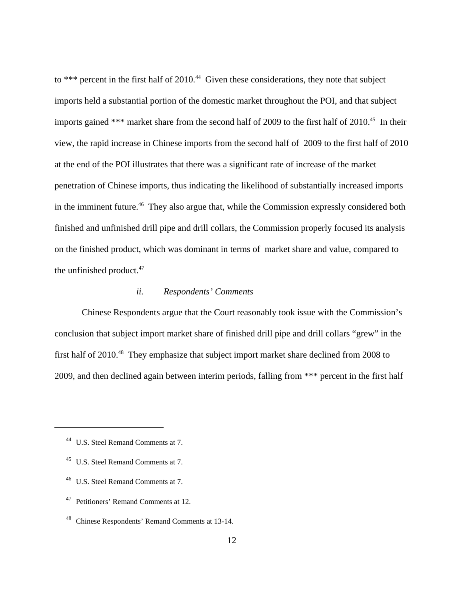to \*\*\* percent in the first half of  $2010<sup>44</sup>$  Given these considerations, they note that subject imports held a substantial portion of the domestic market throughout the POI, and that subject imports gained \*\*\* market share from the second half of 2009 to the first half of 2010.<sup>45</sup> In their view, the rapid increase in Chinese imports from the second half of 2009 to the first half of 2010 at the end of the POI illustrates that there was a significant rate of increase of the market penetration of Chinese imports, thus indicating the likelihood of substantially increased imports in the imminent future.<sup>46</sup> They also argue that, while the Commission expressly considered both finished and unfinished drill pipe and drill collars, the Commission properly focused its analysis on the finished product, which was dominant in terms of market share and value, compared to the unfinished product. $47$ 

# *ii. Respondents' Comments*

Chinese Respondents argue that the Court reasonably took issue with the Commission's conclusion that subject import market share of finished drill pipe and drill collars "grew" in the first half of 2010.<sup>48</sup> They emphasize that subject import market share declined from 2008 to 2009, and then declined again between interim periods, falling from \*\*\* percent in the first half

 <sup>44</sup> U.S. Steel Remand Comments at 7.

<sup>&</sup>lt;sup>45</sup> U.S. Steel Remand Comments at 7.

 <sup>46</sup> U.S. Steel Remand Comments at 7.

 <sup>47</sup> Petitioners' Remand Comments at 12.

 <sup>48</sup> Chinese Respondents' Remand Comments at 13-14.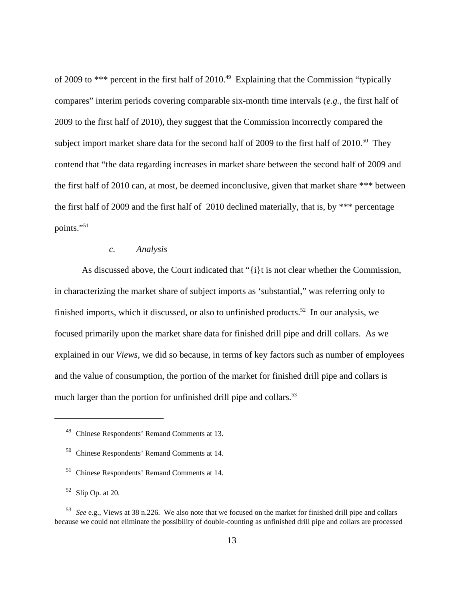of 2009 to \*\*\* percent in the first half of 2010.<sup>49</sup> Explaining that the Commission "typically compares" interim periods covering comparable six-month time intervals (*e.g.*, the first half of 2009 to the first half of 2010), they suggest that the Commission incorrectly compared the subject import market share data for the second half of 2009 to the first half of  $2010^{50}$  They contend that "the data regarding increases in market share between the second half of 2009 and the first half of 2010 can, at most, be deemed inconclusive, given that market share \*\*\* between the first half of 2009 and the first half of 2010 declined materially, that is, by \*\*\* percentage points."<sup>51</sup>

### *c. Analysis*

As discussed above, the Court indicated that "{i}t is not clear whether the Commission, in characterizing the market share of subject imports as 'substantial," was referring only to finished imports, which it discussed, or also to unfinished products.<sup>52</sup> In our analysis, we focused primarily upon the market share data for finished drill pipe and drill collars. As we explained in our *Views*, we did so because, in terms of key factors such as number of employees and the value of consumption, the portion of the market for finished drill pipe and collars is much larger than the portion for unfinished drill pipe and collars.<sup>53</sup>

 <sup>49</sup> Chinese Respondents' Remand Comments at 13.

 <sup>50</sup> Chinese Respondents' Remand Comments at 14.

 <sup>51</sup> Chinese Respondents' Remand Comments at 14.

 $52$  Slip Op. at 20.

 <sup>53</sup> *See* e.g., Views at 38 n.226. We also note that we focused on the market for finished drill pipe and collars because we could not eliminate the possibility of double-counting as unfinished drill pipe and collars are processed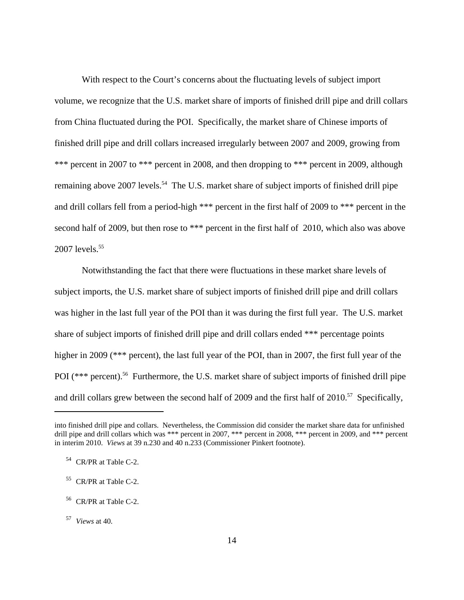With respect to the Court's concerns about the fluctuating levels of subject import volume, we recognize that the U.S. market share of imports of finished drill pipe and drill collars from China fluctuated during the POI. Specifically, the market share of Chinese imports of finished drill pipe and drill collars increased irregularly between 2007 and 2009, growing from \*\*\* percent in 2007 to \*\*\* percent in 2008, and then dropping to \*\*\* percent in 2009, although remaining above 2007 levels.<sup>54</sup> The U.S. market share of subject imports of finished drill pipe and drill collars fell from a period-high \*\*\* percent in the first half of 2009 to \*\*\* percent in the second half of 2009, but then rose to \*\*\* percent in the first half of 2010, which also was above 2007 levels.<sup>55</sup>

Notwithstanding the fact that there were fluctuations in these market share levels of subject imports, the U.S. market share of subject imports of finished drill pipe and drill collars was higher in the last full year of the POI than it was during the first full year. The U.S. market share of subject imports of finished drill pipe and drill collars ended \*\*\* percentage points higher in 2009 (\*\*\* percent), the last full year of the POI, than in 2007, the first full year of the POI (\*\*\* percent).<sup>56</sup> Furthermore, the U.S. market share of subject imports of finished drill pipe and drill collars grew between the second half of 2009 and the first half of 2010.<sup>57</sup> Specifically,

into finished drill pipe and collars. Nevertheless, the Commission did consider the market share data for unfinished drill pipe and drill collars which was \*\*\* percent in 2007, \*\*\* percent in 2008, \*\*\* percent in 2009, and \*\*\* percent in interim 2010. *Views* at 39 n.230 and 40 n.233 (Commissioner Pinkert footnote).

 <sup>54</sup> CR/PR at Table C-2.

 <sup>55</sup> CR/PR at Table C-2.

 <sup>56</sup> CR/PR at Table C-2.

 <sup>57</sup> *Views* at 40.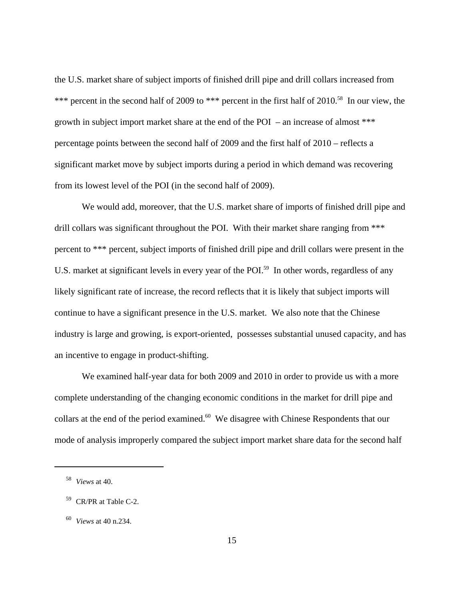the U.S. market share of subject imports of finished drill pipe and drill collars increased from \*\*\* percent in the second half of 2009 to \*\*\* percent in the first half of 2010.<sup>58</sup> In our view, the growth in subject import market share at the end of the POI – an increase of almost \*\*\* percentage points between the second half of 2009 and the first half of 2010 – reflects a significant market move by subject imports during a period in which demand was recovering from its lowest level of the POI (in the second half of 2009).

We would add, moreover, that the U.S. market share of imports of finished drill pipe and drill collars was significant throughout the POI. With their market share ranging from \*\*\* percent to \*\*\* percent, subject imports of finished drill pipe and drill collars were present in the U.S. market at significant levels in every year of the POI.<sup>59</sup> In other words, regardless of any likely significant rate of increase, the record reflects that it is likely that subject imports will continue to have a significant presence in the U.S. market. We also note that the Chinese industry is large and growing, is export-oriented, possesses substantial unused capacity, and has an incentive to engage in product-shifting.

We examined half-year data for both 2009 and 2010 in order to provide us with a more complete understanding of the changing economic conditions in the market for drill pipe and collars at the end of the period examined.<sup>60</sup> We disagree with Chinese Respondents that our mode of analysis improperly compared the subject import market share data for the second half

 <sup>58</sup> *Views* at 40.

 <sup>59</sup> CR/PR at Table C-2.

 <sup>60</sup> *Views* at 40 n.234.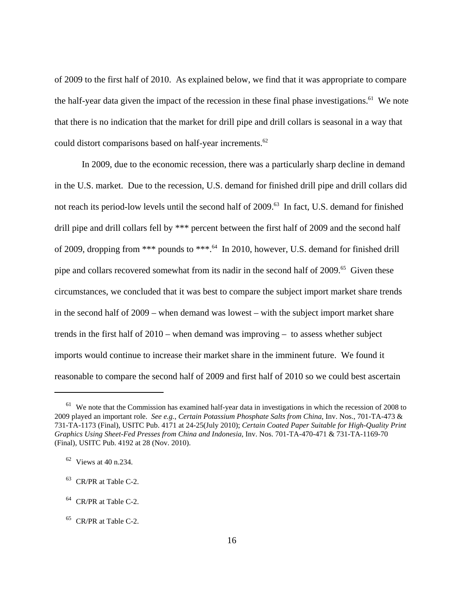of 2009 to the first half of 2010. As explained below, we find that it was appropriate to compare the half-year data given the impact of the recession in these final phase investigations.<sup>61</sup> We note that there is no indication that the market for drill pipe and drill collars is seasonal in a way that could distort comparisons based on half-year increments.<sup>62</sup>

In 2009, due to the economic recession, there was a particularly sharp decline in demand in the U.S. market. Due to the recession, U.S. demand for finished drill pipe and drill collars did not reach its period-low levels until the second half of 2009.<sup>63</sup> In fact, U.S. demand for finished drill pipe and drill collars fell by \*\*\* percent between the first half of 2009 and the second half of 2009, dropping from \*\*\* pounds to \*\*\*.64 In 2010, however, U.S. demand for finished drill pipe and collars recovered somewhat from its nadir in the second half of 2009.<sup>65</sup> Given these circumstances, we concluded that it was best to compare the subject import market share trends in the second half of 2009 – when demand was lowest – with the subject import market share trends in the first half of 2010 – when demand was improving – to assess whether subject imports would continue to increase their market share in the imminent future. We found it reasonable to compare the second half of 2009 and first half of 2010 so we could best ascertain

 $61$  We note that the Commission has examined half-year data in investigations in which the recession of 2008 to 2009 played an important role. *See e.g.*, *Certain Potassium Phosphate Salts from China*, Inv. Nos., 701-TA-473 & 731-TA-1173 (Final), USITC Pub. 4171 at 24-25(July 2010); *Certain Coated Paper Suitable for High-Quality Print Graphics Using Sheet-Fed Presses from China and Indonesia*, Inv. Nos. 701-TA-470-471 & 731-TA-1169-70 (Final), USITC Pub. 4192 at 28 (Nov. 2010).

 <sup>62</sup> Views at 40 n.234.

 $63$  CR/PR at Table C-2.

 $64$  CR/PR at Table C-2.

 <sup>65</sup> CR/PR at Table C-2.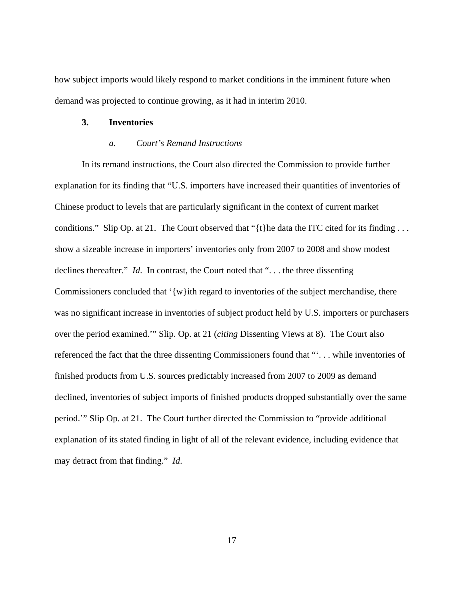how subject imports would likely respond to market conditions in the imminent future when demand was projected to continue growing, as it had in interim 2010.

#### **3. Inventories**

# *a. Court's Remand Instructions*

In its remand instructions, the Court also directed the Commission to provide further explanation for its finding that "U.S. importers have increased their quantities of inventories of Chinese product to levels that are particularly significant in the context of current market conditions." Slip Op. at 21. The Court observed that " $\{t\}$ he data the ITC cited for its finding ... show a sizeable increase in importers' inventories only from 2007 to 2008 and show modest declines thereafter." *Id*. In contrast, the Court noted that ". . . the three dissenting Commissioners concluded that '{w}ith regard to inventories of the subject merchandise, there was no significant increase in inventories of subject product held by U.S. importers or purchasers over the period examined.'" Slip. Op. at 21 (*citing* Dissenting Views at 8). The Court also referenced the fact that the three dissenting Commissioners found that "'. . . while inventories of finished products from U.S. sources predictably increased from 2007 to 2009 as demand declined, inventories of subject imports of finished products dropped substantially over the same period.'" Slip Op. at 21. The Court further directed the Commission to "provide additional explanation of its stated finding in light of all of the relevant evidence, including evidence that may detract from that finding." *Id*.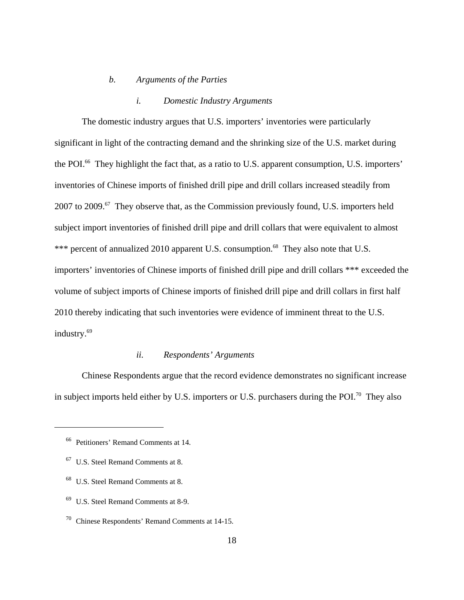#### *b. Arguments of the Parties*

#### *i. Domestic Industry Arguments*

The domestic industry argues that U.S. importers' inventories were particularly significant in light of the contracting demand and the shrinking size of the U.S. market during the POI.<sup>66</sup> They highlight the fact that, as a ratio to U.S. apparent consumption, U.S. importers' inventories of Chinese imports of finished drill pipe and drill collars increased steadily from 2007 to 2009.<sup>67</sup> They observe that, as the Commission previously found, U.S. importers held subject import inventories of finished drill pipe and drill collars that were equivalent to almost \*\*\* percent of annualized 2010 apparent U.S. consumption.<sup>68</sup> They also note that U.S. importers' inventories of Chinese imports of finished drill pipe and drill collars \*\*\* exceeded the volume of subject imports of Chinese imports of finished drill pipe and drill collars in first half 2010 thereby indicating that such inventories were evidence of imminent threat to the U.S. industry.<sup>69</sup>

# *ii. Respondents' Arguments*

Chinese Respondents argue that the record evidence demonstrates no significant increase in subject imports held either by U.S. importers or U.S. purchasers during the POI.<sup>70</sup> They also

 <sup>66</sup> Petitioners' Remand Comments at 14.

 <sup>67</sup> U.S. Steel Remand Comments at 8.

 <sup>68</sup> U.S. Steel Remand Comments at 8.

 $69$  U.S. Steel Remand Comments at 8-9.

 <sup>70</sup> Chinese Respondents' Remand Comments at 14-15.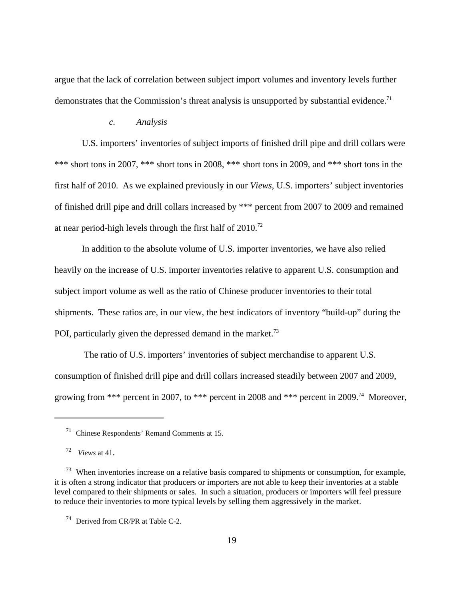argue that the lack of correlation between subject import volumes and inventory levels further demonstrates that the Commission's threat analysis is unsupported by substantial evidence.<sup>71</sup>

#### *c. Analysis*

U.S. importers' inventories of subject imports of finished drill pipe and drill collars were \*\*\* short tons in 2007, \*\*\* short tons in 2008, \*\*\* short tons in 2009, and \*\*\* short tons in the first half of 2010. As we explained previously in our *Views*, U.S. importers' subject inventories of finished drill pipe and drill collars increased by \*\*\* percent from 2007 to 2009 and remained at near period-high levels through the first half of 2010.72

In addition to the absolute volume of U.S. importer inventories, we have also relied heavily on the increase of U.S. importer inventories relative to apparent U.S. consumption and subject import volume as well as the ratio of Chinese producer inventories to their total shipments. These ratios are, in our view, the best indicators of inventory "build-up" during the POI, particularly given the depressed demand in the market.<sup>73</sup>

 The ratio of U.S. importers' inventories of subject merchandise to apparent U.S. consumption of finished drill pipe and drill collars increased steadily between 2007 and 2009, growing from \*\*\* percent in 2007, to \*\*\* percent in 2008 and \*\*\* percent in 2009.<sup>74</sup> Moreover,

 <sup>71</sup> Chinese Respondents' Remand Comments at 15.

 <sup>72</sup> *Views* at 41.

<sup>&</sup>lt;sup>73</sup> When inventories increase on a relative basis compared to shipments or consumption, for example, it is often a strong indicator that producers or importers are not able to keep their inventories at a stable level compared to their shipments or sales. In such a situation, producers or importers will feel pressure to reduce their inventories to more typical levels by selling them aggressively in the market.

 <sup>74</sup> Derived from CR/PR at Table C-2.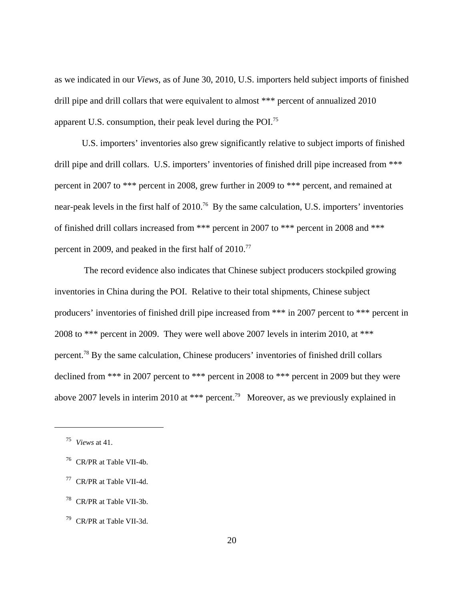as we indicated in our *Views*, as of June 30, 2010, U.S. importers held subject imports of finished drill pipe and drill collars that were equivalent to almost \*\*\* percent of annualized 2010 apparent U.S. consumption, their peak level during the POI.75

U.S. importers' inventories also grew significantly relative to subject imports of finished drill pipe and drill collars. U.S. importers' inventories of finished drill pipe increased from \*\*\* percent in 2007 to \*\*\* percent in 2008, grew further in 2009 to \*\*\* percent, and remained at near-peak levels in the first half of 2010.<sup>76</sup> By the same calculation, U.S. importers' inventories of finished drill collars increased from \*\*\* percent in 2007 to \*\*\* percent in 2008 and \*\*\* percent in 2009, and peaked in the first half of 2010.<sup>77</sup>

 The record evidence also indicates that Chinese subject producers stockpiled growing inventories in China during the POI. Relative to their total shipments, Chinese subject producers' inventories of finished drill pipe increased from \*\*\* in 2007 percent to \*\*\* percent in 2008 to \*\*\* percent in 2009. They were well above 2007 levels in interim 2010, at \*\*\* percent.78 By the same calculation, Chinese producers' inventories of finished drill collars declined from \*\*\* in 2007 percent to \*\*\* percent in 2008 to \*\*\* percent in 2009 but they were above 2007 levels in interim 2010 at \*\*\* percent.<sup>79</sup> Moreover, as we previously explained in

78 CR/PR at Table VII-3b.

 <sup>75</sup> *Views* at 41.

 <sup>76</sup> CR/PR at Table VII-4b.

 <sup>77</sup> CR/PR at Table VII-4d.

 <sup>79</sup> CR/PR at Table VII-3d.